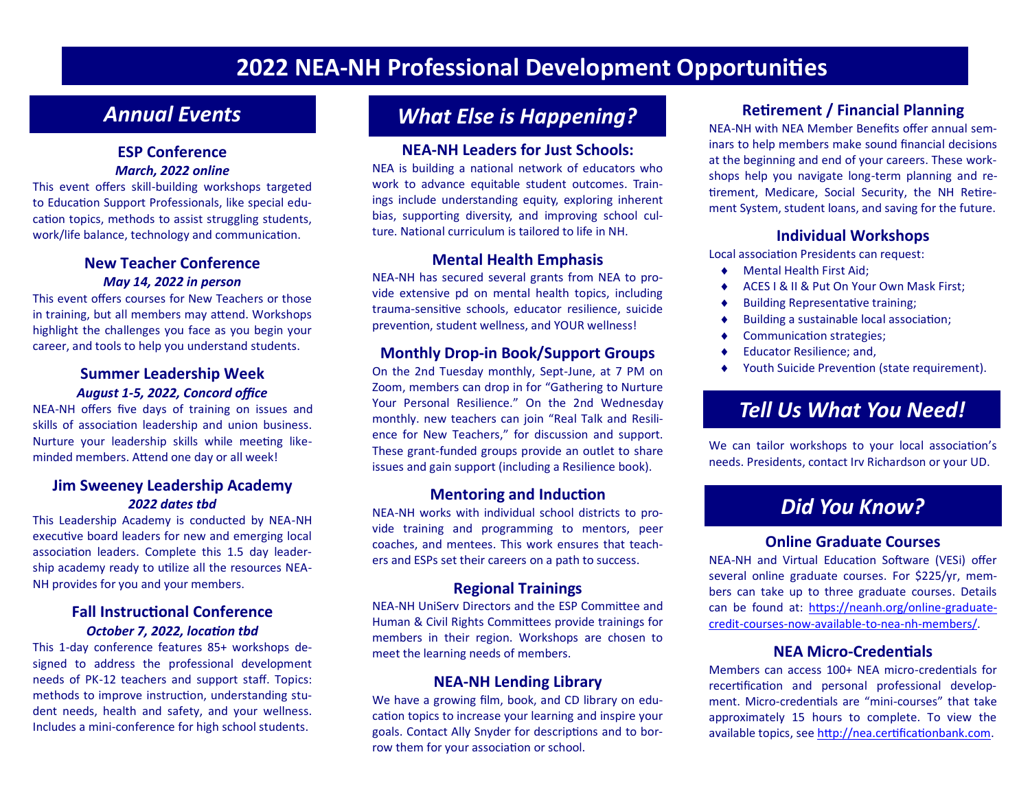# **2022 NEA-NH Professional Development Opportunities**

#### **ESP Conference**  *March, 2022 online*

This event offers skill-building workshops targeted to Education Support Professionals, like special education topics, methods to assist struggling students, work/life balance, technology and communication.

#### **New Teacher Conference**  *May 14, 2022 in person*

This event offers courses for New Teachers or those in training, but all members may attend. Workshops highlight the challenges you face as you begin your career, and tools to help you understand students.

#### **Summer Leadership Week** *August 1-5, 2022, Concord office*

NEA-NH offers five days of training on issues and skills of association leadership and union business. Nurture your leadership skills while meeting likeminded members. Attend one day or all week!

#### **Jim Sweeney Leadership Academy** *2022 dates tbd*

This Leadership Academy is conducted by NEA-NH executive board leaders for new and emerging local association leaders. Complete this 1.5 day leadership academy ready to utilize all the resources NEA-NH provides for you and your members.

#### **Fall Instructional Conference** *October 7, 2022, location tbd*

This 1-day conference features 85+ workshops designed to address the professional development needs of PK-12 teachers and support staff. Topics: methods to improve instruction, understanding student needs, health and safety, and your wellness. Includes a mini-conference for high school students.

# *Annual Events What Else is Happening?*

#### **NEA-NH Leaders for Just Schools:**

NEA is building a national network of educators who work to advance equitable student outcomes. Trainings include understanding equity, exploring inherent bias, supporting diversity, and improving school culture. National curriculum is tailored to life in NH.

#### **Mental Health Emphasis**

NEA-NH has secured several grants from NEA to provide extensive pd on mental health topics, including trauma-sensitive schools, educator resilience, suicide prevention, student wellness, and YOUR wellness!

#### **Monthly Drop-in Book/Support Groups**

On the 2nd Tuesday monthly, Sept-June, at 7 PM on Zoom, members can drop in for "Gathering to Nurture Your Personal Resilience." On the 2nd Wednesday monthly. new teachers can join "Real Talk and Resilience for New Teachers," for discussion and support. These grant-funded groups provide an outlet to share issues and gain support (including a Resilience book).

#### **Mentoring and Induction**

NEA-NH works with individual school districts to provide training and programming to mentors, peer coaches, and mentees. This work ensures that teachers and ESPs set their careers on a path to success.

#### **Regional Trainings**

NEA-NH UniServ Directors and the ESP Committee and Human & Civil Rights Committees provide trainings for members in their region. Workshops are chosen to meet the learning needs of members.

#### **NEA-NH Lending Library**

We have a growing film, book, and CD library on education topics to increase your learning and inspire your goals. Contact Ally Snyder for descriptions and to borrow them for your association or school.

#### **Retirement / Financial Planning**

NEA-NH with NEA Member Benefits offer annual seminars to help members make sound financial decisions at the beginning and end of your careers. These workshops help you navigate long-term planning and retirement, Medicare, Social Security, the NH Retirement System, student loans, and saving for the future.

#### **Individual Workshops**

Local association Presidents can request:

- ◆ Mental Health First Aid;
- ◆ ACES I & II & Put On Your Own Mask First:
- ◆ Building Representative training;
- Building a sustainable local association;
- ◆ Communication strategies;
- ◆ Educator Resilience: and.
- ◆ Youth Suicide Prevention (state requirement).

## *Tell Us What You Need!*

We can tailor workshops to your local association's needs. Presidents, contact Irv Richardson or your UD.

## *Did You Know?*

#### **Online Graduate Courses**

NEA-NH and Virtual Education Software (VESi) offer several online graduate courses. For \$225/yr, members can take up to three graduate courses. Details can be found at: [https://neanh.org/online](https://neanh.org/online-graduate-credit-courses-now-available-to-nea-nh-members/)-graduatecredit-courses-now-available-to-nea-nh-[members/.](https://neanh.org/online-graduate-credit-courses-now-available-to-nea-nh-members/) 

#### **NEA Micro-Credentials**

Members can access 100+ NEA micro-credentials for recertification and personal professional development. Micro-credentials are "mini-courses" that take approximately 15 hours to complete. To view the available topics, see [http://nea.certificationbank.com.](http://nea.certificationbank.com/)